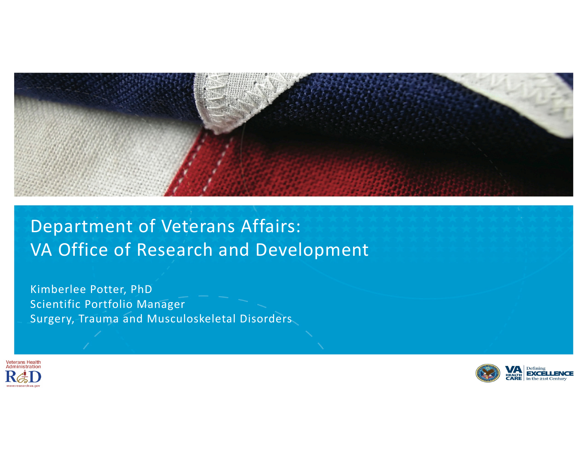

# Department of Veterans Affairs: VA Office of Research and Development

Kimberlee Potter, PhD Scientific Portfolio Manager Surgery, Trauma and Musculoskeletal Disorders



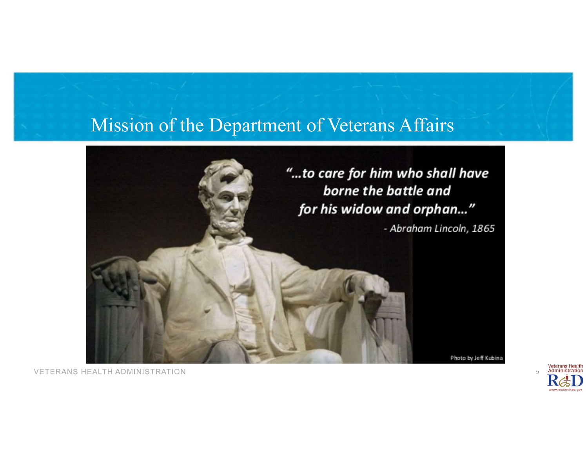#### Mission of the Department of Veterans Affairs



**Veterans Health**  $\overline{2}$ Administration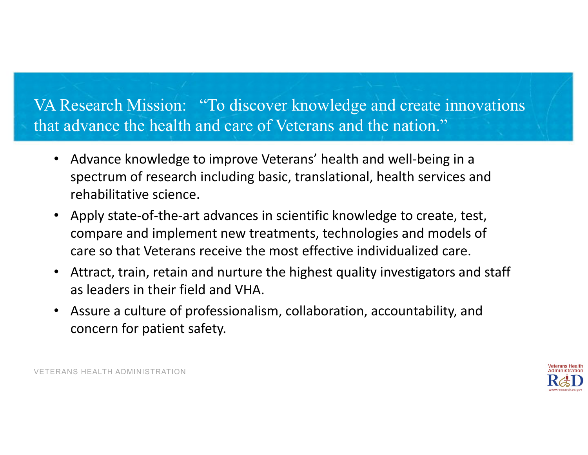#### VA Research Mission: "To discover knowledge and create innovations that advance the health and care of Veterans and the nation."

- • Advance knowledge to improve Veterans' health and well‐being in <sup>a</sup> spectrum of research including basic, translational, health services and rehabilitative science.
- Apply state-of-the-art advances in scientific knowledge to create, test, compare and implement new treatments, technologies and models of care so that Veterans receive the most effective individualized care.
- $\bullet$  Attract, train, retain and nurture the highest quality investigators and staff as leaders in their field and VHA.
- • Assure <sup>a</sup> culture of professionalism, collaboration, accountability, and concern for patient safety.

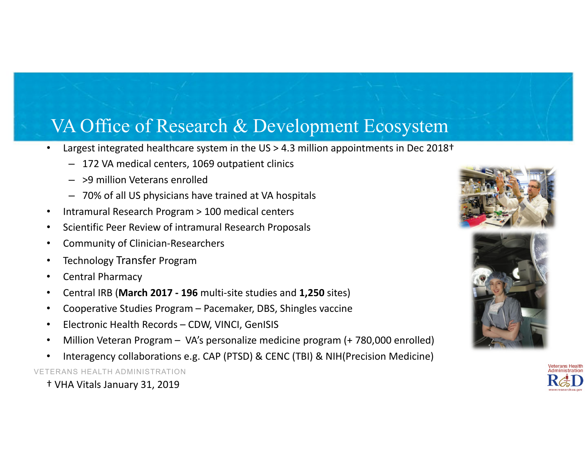### VA Office of Research & Development Ecosystem

- •Largest integrated healthcare system in the US > 4.3 million appointments in Dec 2018<sup>+</sup>
	- 172 VA medical centers, 1069 outpatient clinics
	- >9 million Veterans enrolled
	- 70% of all US physicians have trained at VA hospitals
- •Intramural Research Program <sup>&</sup>gt; 100 medical centers
- •**•** Scientific Peer Review of intramural Research Proposals
- •Community of Clinician‐Researchers
- •Technology Transfer Program
- •Central Pharmacy
- •Central IRB (**March 2017 ‐ 196** multi‐site studies and **1,250** sites)
- •Cooperative Studies Program – Pacemaker, DBS, Shingles vaccine
- •Electronic Health Records – CDW, VINCI, GenISIS
- •Million Veteran Program – VA's personalize medicine program (+ 780,000 enrolled)
- •Interagency collaborations e.g. CAP (PTSD) & CENC (TBI) & NIH(Precision Medicine)

VETERANS HEALTH ADMINISTRATION

† VHA Vitals January 31, 2019





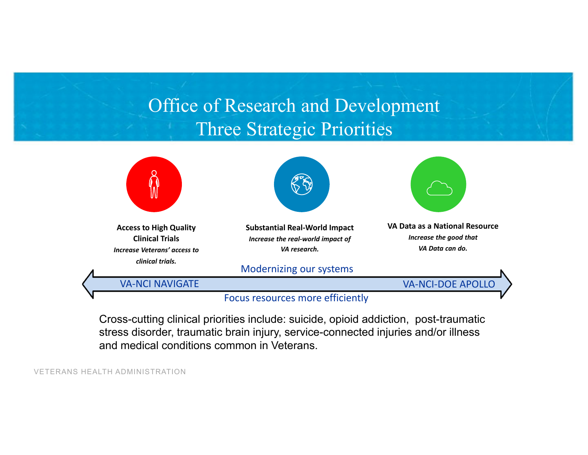# Office of Research and Development Three Strategic Priorities



Cross-cutting clinical priorities include: suicide, opioid addiction, post-traumatic stress disorder, traumatic brain injury, service-connected injuries and/or illness and medical conditions common in Veterans.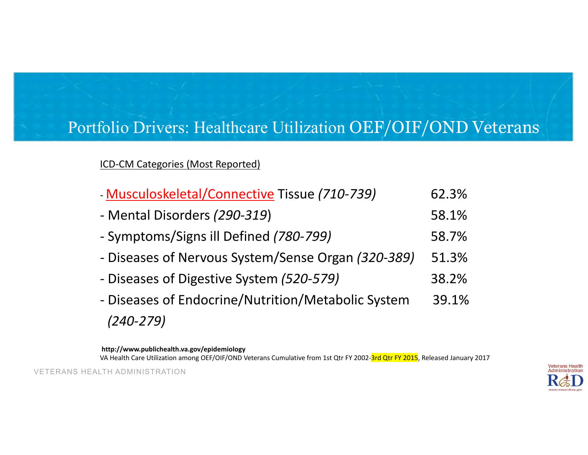#### Portfolio Drivers: Healthcare Utilization OEF/OIF/OND Veterans

ICD‐CM Categories (Most Reported)

| - Musculoskeletal/Connective Tissue (710-739)      | 62.3% |
|----------------------------------------------------|-------|
| - Mental Disorders (290-319)                       | 58.1% |
| - Symptoms/Signs ill Defined (780-799)             | 58.7% |
| - Diseases of Nervous System/Sense Organ (320-389) | 51.3% |
| - Diseases of Digestive System (520-579)           |       |
| - Diseases of Endocrine/Nutrition/Metabolic System | 39.1% |
| $(240 - 279)$                                      |       |

**http://www.publichealth.va.gov/epidemiology**

VA Health Care Utilization among OEF/OIF/OND Veterans Cumulative from 1st Qtr FY 2002-<mark>3rd Qtr FY 2015</mark>, Released January 2017

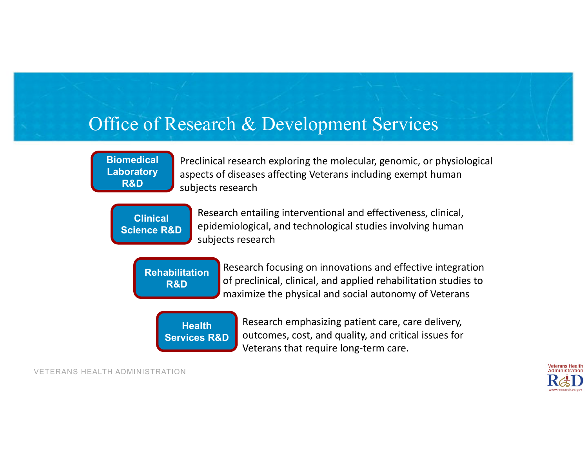#### Office of Research & Development Services

**Biomedical Laboratory R&D**

Preclinical research exploring the molecular, genomic, or physiological aspects of diseases affecting Veterans including exempt human subjects research

**Clinical Science R&D**

Research entailing interventional and effectiveness, clinical, epidemiological, and technological studies involving human subjects research

**Rehabilitation R&D**

Research focusing on innovations and effective integration of preclinical, clinical, and applied rehabilitation studies to maximize the physical and social autonomy of Veterans



Research emphasizing patient care, care delivery, outcomes, cost, and quality, and critical issues for Veterans that require long‐term care.

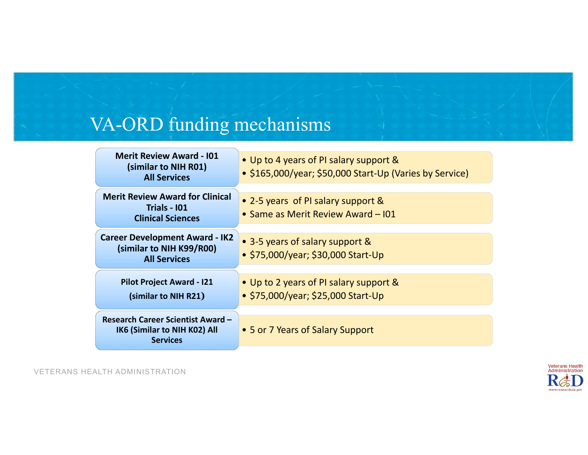# VA-ORD funding mechanisms

| <b>Merit Review Award - 101</b><br>(similar to NIH R01)<br><b>All Services</b>              | • Up to 4 years of PI salary support &<br>• \$165,000/year; \$50,000 Start-Up (Varies by Service) |
|---------------------------------------------------------------------------------------------|---------------------------------------------------------------------------------------------------|
| <b>Merit Review Award for Clinical</b><br><b>Trials - 101</b><br><b>Clinical Sciences</b>   | • 2-5 years of PI salary support &<br>• Same as Merit Review Award - 101                          |
| <b>Career Development Award - IK2</b><br>(similar to NIH K99/R00)<br><b>All Services</b>    | • 3-5 years of salary support &<br>• \$75,000/year; \$30,000 Start-Up                             |
| <b>Pilot Project Award - I21</b><br>(similar to NIH R21)                                    | • Up to 2 years of PI salary support &<br>• \$75,000/year; \$25,000 Start-Up                      |
| <b>Research Career Scientist Award -</b><br>IK6 (Similar to NIH K02) All<br><b>Services</b> | • 5 or 7 Years of Salary Support                                                                  |

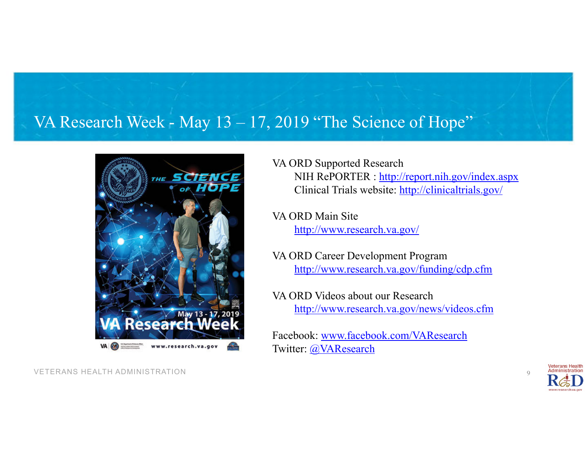#### VA Research Week - May 13 – 17, 2019 "The Science of Hope"



VETERANS HEALTH ADMINISTRATION

VA ORD Supported Research NIH RePORTER : http://report.nih.gov/index.aspx Clinical Trials website: http://clinicaltrials.gov/

VA ORD Main Site http://www.research.va.gov/

VA ORD Career Development Program http://www.research.va.gov/funding/cdp.cfm

VA ORD Videos about our Researchhttp://www.research.va.gov/news/videos.cfm

Facebook: www.facebook.com/VAResearchTwitter: @VAResearch



 $Q$